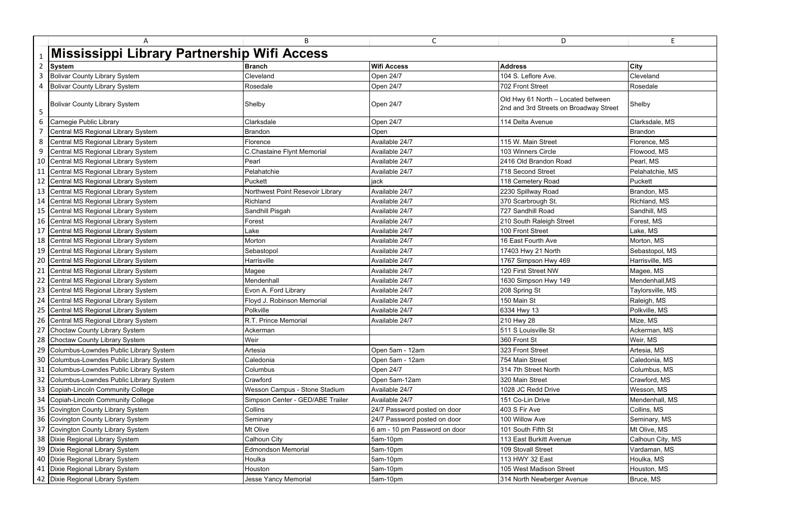|                | A                                           | B                                | $\mathsf{C}$                  | D                                                                            | E                |
|----------------|---------------------------------------------|----------------------------------|-------------------------------|------------------------------------------------------------------------------|------------------|
|                | Mississippi Library Partnership Wifi Access |                                  |                               |                                                                              |                  |
| $\overline{2}$ | <b>System</b>                               | <b>Branch</b>                    | <b>Wifi Access</b>            | <b>Address</b>                                                               | <b>City</b>      |
| 3              | <b>Bolivar County Library System</b>        | Cleveland                        | Open 24/7                     | 104 S. Leflore Ave.                                                          | Cleveland        |
|                | 4   Bolivar County Library System           | Rosedale                         | Open 24/7                     | 702 Front Street                                                             | Rosedale         |
| 5              | <b>Bolivar County Library System</b>        | Shelby                           | <b>Open 24/7</b>              | Old Hwy 61 North - Located between<br>2nd and 3rd Streets on Broadway Street | Shelby           |
| 6              | Carnegie Public Library                     | Clarksdale                       | Open 24/7                     | 114 Delta Avenue                                                             | Clarksdale, MS   |
| 7              | Central MS Regional Library System          | <b>Brandon</b>                   | Open                          |                                                                              | <b>Brandon</b>   |
| 8              | Central MS Regional Library System          | Florence                         | Available 24/7                | 115 W. Main Street                                                           | Florence, MS     |
| 9              | Central MS Regional Library System          | C.Chastaine Flynt Memorial       | Available 24/7                | 103 Winners Circle                                                           | Flowood, MS      |
|                | 10 Central MS Regional Library System       | Pearl                            | Available 24/7                | 2416 Old Brandon Road                                                        | Pearl, MS        |
|                | 11 Central MS Regional Library System       | Pelahatchie                      | Available 24/7                | 718 Second Street                                                            | Pelahatchie, MS  |
|                | 12 Central MS Regional Library System       | Puckett                          | jack                          | 118 Cemetery Road                                                            | Puckett          |
|                | 13 Central MS Regional Library System       | Northwest Point Resevoir Library | Available 24/7                | 2230 Spillway Road                                                           | Brandon, MS      |
|                | 14 Central MS Regional Library System       | Richland                         | Available 24/7                | 370 Scarbrough St.                                                           | Richland, MS     |
|                | 15 Central MS Regional Library System       | Sandhill Pisgah                  | Available 24/7                | 727 Sandhill Road                                                            | Sandhill, MS     |
|                | 16 Central MS Regional Library System       | Forest                           | Available 24/7                | 210 South Raleigh Street                                                     | Forest, MS       |
|                | 17 Central MS Regional Library System       | Lake                             | Available 24/7                | 100 Front Street                                                             | Lake, MS         |
|                | 18 Central MS Regional Library System       | Morton                           | Available 24/7                | 16 East Fourth Ave                                                           | Morton, MS       |
|                | 19 Central MS Regional Library System       | Sebastopol                       | Available 24/7                | 17403 Hwy 21 North                                                           | Sebastopol, MS   |
|                | 20 Central MS Regional Library System       | Harrisville                      | Available 24/7                | 1767 Simpson Hwy 469                                                         | Harrisville, MS  |
|                | 21 Central MS Regional Library System       | Magee                            | Available 24/7                | 120 First Street NW                                                          | Magee, MS        |
|                | 22 Central MS Regional Library System       | Mendenhall                       | Available 24/7                | 1630 Simpson Hwy 149                                                         | Mendenhall, MS   |
|                | 23 Central MS Regional Library System       | Evon A. Ford Library             | Available 24/7                | 208 Spring St                                                                | Taylorsville, MS |
|                | 24 Central MS Regional Library System       | Floyd J. Robinson Memorial       | Available 24/7                | 150 Main St                                                                  | Raleigh, MS      |
|                | 25 Central MS Regional Library System       | Polkville                        | Available 24/7                | 6334 Hwy 13                                                                  | Polkville, MS    |
|                | 26 Central MS Regional Library System       | R.T. Prince Memorial             | Available 24/7                | 210 Hwy 28                                                                   | Mize, MS         |
|                | 27 Choctaw County Library System            | Ackerman                         |                               | 511 S Louisville St                                                          | Ackerman, MS     |
|                | 28 Choctaw County Library System            | Weir                             |                               | 360 Front St                                                                 | Weir, MS         |
|                | 29 Columbus-Lowndes Public Library System   | Artesia                          | Open 5am - 12am               | 323 Front Street                                                             | Artesia, MS      |
|                | 30 Columbus-Lowndes Public Library System   | Caledonia                        | Open 5am - 12am               | 754 Main Street                                                              | Caledonia, MS    |
|                | 31 Columbus-Lowndes Public Library System   | Columbus                         | Open 24/7                     | 314 7th Street North                                                         | Columbus, MS     |
|                | 32 Columbus-Lowndes Public Library System   | Crawford                         | Open 5am-12am                 | 320 Main Street                                                              | Crawford, MS     |
|                | 33 Copiah-Lincoln Community College         | Wesson Campus - Stone Stadium    | Available 24/7                | 1028 JC Redd Drive                                                           | Wesson, MS       |
|                | 34 Copiah-Lincoln Community College         | Simpson Center - GED/ABE Trailer | Available 24/7                | 151 Co-Lin Drive                                                             | Mendenhall, MS   |
|                | 35 Covington County Library System          | Collins                          | 24/7 Password posted on door  | 403 S Fir Ave                                                                | Collins, MS      |
|                | 36 Covington County Library System          | Seminary                         | 24/7 Password posted on door  | 100 Willow Ave                                                               | Seminary, MS     |
|                | 37 Covington County Library System          | Mt Olive                         | 6 am - 10 pm Password on door | 101 South Fifth St                                                           | Mt Olive, MS     |
|                | 38   Dixie Regional Library System          | Calhoun City                     | 5am-10pm                      | 113 East Burkitt Avenue                                                      | Calhoun City, MS |
|                | 39   Dixie Regional Library System          | <b>Edmondson Memorial</b>        | 5am-10pm                      | 109 Stovall Street                                                           | Vardaman, MS     |
|                | 40   Dixie Regional Library System          | Houlka                           | 5am-10pm                      | 113 HWY 32 East                                                              | Houlka, MS       |
|                | 41 Dixie Regional Library System            | Houston                          | 5am-10pm                      | 105 West Madison Street                                                      | Houston, MS      |
|                | 42 Dixie Regional Library System            | <b>Jesse Yancy Memorial</b>      | 5am-10pm                      | 314 North Newberger Avenue                                                   | Bruce, MS        |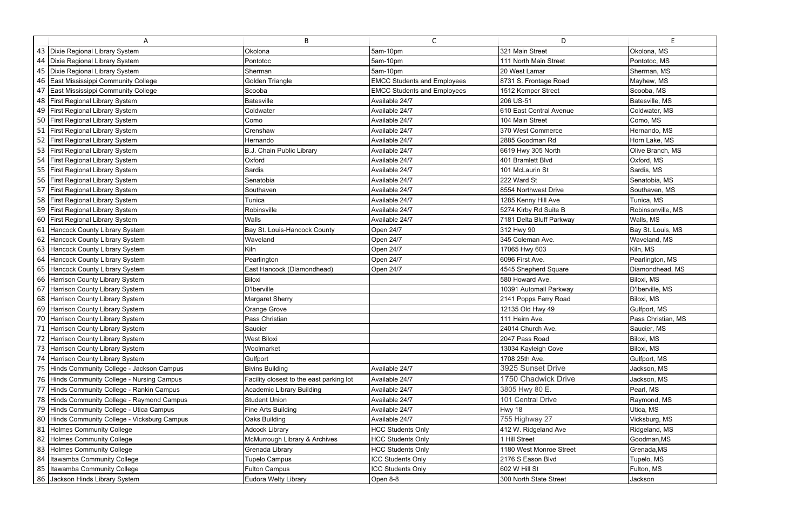|    | A                                             | B                                        | $\mathsf{C}$                       | D                        | F.                 |
|----|-----------------------------------------------|------------------------------------------|------------------------------------|--------------------------|--------------------|
|    | 43   Dixie Regional Library System            | Okolona                                  | 5am-10pm                           | 321 Main Street          | Okolona, MS        |
|    | 44   Dixie Regional Library System            | Pontotoc                                 | 5am-10pm                           | 111 North Main Street    | Pontotoc, MS       |
|    | 45   Dixie Regional Library System            | Sherman                                  | 5am-10pm                           | 20 West Lamar            | Sherman, MS        |
|    | 46 East Mississippi Community College         | Golden Triangle                          | <b>EMCC Students and Employees</b> | 8731 S. Frontage Road    | Mayhew, MS         |
| 47 | East Mississippi Community College            | Scooba                                   | <b>EMCC Students and Employees</b> | 1512 Kemper Street       | Scooba, MS         |
|    | 48 First Regional Library System              | Batesville                               | Available 24/7                     | 206 US-51                | Batesville, MS     |
|    | 49 First Regional Library System              | Coldwater                                | Available 24/7                     | 610 East Central Avenue  | Coldwater, MS      |
|    | 50 First Regional Library System              | Como                                     | Available 24/7                     | 104 Main Street          | Como, MS           |
|    | 51 First Regional Library System              | Crenshaw                                 | Available 24/7                     | 370 West Commerce        | Hernando, MS       |
|    | 52 First Regional Library System              | Hernando                                 | Available 24/7                     | 2885 Goodman Rd          | Horn Lake, MS      |
|    | 53 First Regional Library System              | B.J. Chain Public Library                | Available 24/7                     | 6619 Hwy 305 North       | Olive Branch, MS   |
|    | 54 First Regional Library System              | Oxford                                   | Available 24/7                     | 401 Bramlett Blvd        | Oxford, MS         |
|    | 55 First Regional Library System              | Sardis                                   | Available 24/7                     | 101 McLaurin St          | Sardis, MS         |
|    | 56 First Regional Library System              | Senatobia                                | Available 24/7                     | 222 Ward St              | Senatobia, MS      |
|    | 57 First Regional Library System              | Southaven                                | Available 24/7                     | 8554 Northwest Drive     | Southaven, MS      |
|    | 58 First Regional Library System              | Tunica                                   | Available 24/7                     | 1285 Kenny Hill Ave      | Tunica, MS         |
|    | 59 First Regional Library System              | Robinsville                              | Available 24/7                     | 5274 Kirby Rd Suite B    | Robinsonville, MS  |
|    | 60 First Regional Library System              | Walls                                    | Available 24/7                     | 7181 Delta Bluff Parkway | Walls, MS          |
|    | 61 Hancock County Library System              | Bay St. Louis-Hancock County             | Open 24/7                          | 312 Hwy 90               | Bay St. Louis, MS  |
|    | 62 Hancock County Library System              | Waveland                                 | Open 24/7                          | 345 Coleman Ave.         | Waveland, MS       |
|    | 63 Hancock County Library System              | Kiln                                     | Open 24/7                          | 17065 Hwy 603            | Kiln, MS           |
|    | 64 Hancock County Library System              | Pearlington                              | Open 24/7                          | 6096 First Ave.          | Pearlington, MS    |
|    | 65 Hancock County Library System              | East Hancock (Diamondhead)               | Open 24/7                          | 4545 Shepherd Square     | Diamondhead, MS    |
|    | 66 Harrison County Library System             | Biloxi                                   |                                    | 580 Howard Ave.          | Biloxi, MS         |
|    | 67 Harrison County Library System             | D'Iberville                              |                                    | 10391 Automall Parkway   | D'Iberville, MS    |
|    | 68 Harrison County Library System             | <b>Margaret Sherry</b>                   |                                    | 2141 Popps Ferry Road    | Biloxi, MS         |
|    | 69 Harrison County Library System             | Orange Grove                             |                                    | 12135 Old Hwy 49         | Gulfport, MS       |
|    | 70 Harrison County Library System             | Pass Christian                           |                                    | 111 Heirn Ave.           | Pass Christian, MS |
|    | 71 Harrison County Library System             | Saucier                                  |                                    | 24014 Church Ave.        | Saucier, MS        |
|    | 72 Harrison County Library System             | <b>West Biloxi</b>                       |                                    | 2047 Pass Road           | Biloxi, MS         |
|    | 73 Harrison County Library System             | Woolmarket                               |                                    | 13034 Kayleigh Cove      | Biloxi, MS         |
|    | 74 Harrison County Library System             | Gulfport                                 |                                    | 1708 25th Ave.           | Gulfport, MS       |
|    | 75 Hinds Community College - Jackson Campus   | <b>Bivins Building</b>                   | Available 24/7                     | 3925 Sunset Drive        | Jackson, MS        |
|    | 76 Hinds Community College - Nursing Campus   | Facility closest to the east parking lot | Available 24/7                     | 1750 Chadwick Drive      | Jackson, MS        |
|    | 77 Hinds Community College - Rankin Campus    | <b>Academic Library Building</b>         | Available 24/7                     | 3805 Hwy 80 E.           | Pearl, MS          |
|    | 78 Hinds Community College - Raymond Campus   | <b>Student Union</b>                     | Available 24/7                     | 101 Central Drive        | Raymond, MS        |
|    | 79 Hinds Community College - Utica Campus     | Fine Arts Building                       | Available 24/7                     | Hwy 18                   | Utica, MS          |
|    | 80 Hinds Community College - Vicksburg Campus | Oaks Building                            | Available 24/7                     | 755 Highway 27           | Vicksburg, MS      |
|    | 81 Holmes Community College                   | <b>Adcock Library</b>                    | <b>HCC Students Only</b>           | 412 W. Ridgeland Ave     | Ridgeland, MS      |
|    | 82 Holmes Community College                   | McMurrough Library & Archives            | <b>HCC Students Only</b>           | 1 Hill Street            | Goodman, MS        |
|    | 83 Holmes Community College                   | Grenada Library                          | <b>HCC Students Only</b>           | 1180 West Monroe Street  | Grenada, MS        |
|    | 84 Itawamba Community College                 | Tupelo Campus                            | <b>ICC Students Only</b>           | 2176 S Eason Blvd        | Tupelo, MS         |
|    | 85 Itawamba Community College                 | <b>Fulton Campus</b>                     | <b>ICC Students Only</b>           | 602 W Hill St            | Fulton, MS         |
|    | 86 Jackson Hinds Library System               | Eudora Welty Library                     | Open 8-8                           | 300 North State Street   | Jackson            |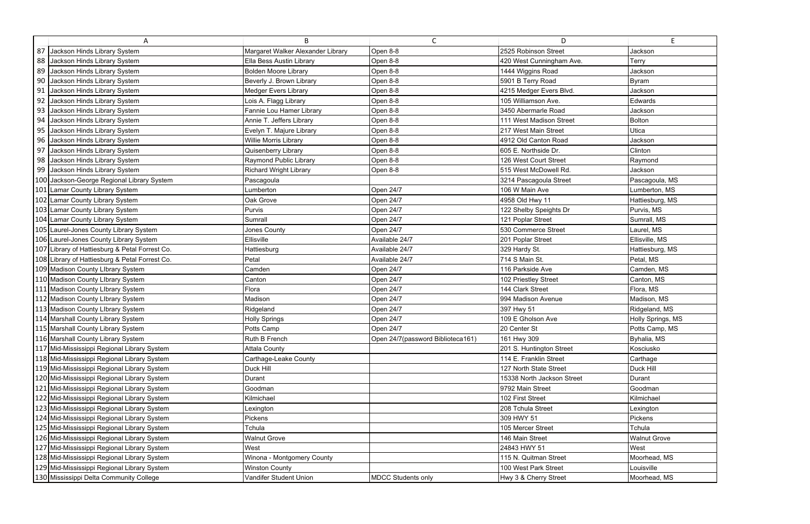|    | A                                              | B                                 | $\mathsf{C}$                      | D                          | E                   |
|----|------------------------------------------------|-----------------------------------|-----------------------------------|----------------------------|---------------------|
|    | 87 Jackson Hinds Library System                | Margaret Walker Alexander Library | Open 8-8                          | 2525 Robinson Street       | Jackson             |
| 88 | Jackson Hinds Library System                   | Ella Bess Austin Library          | Open 8-8                          | 420 West Cunningham Ave.   | Terry               |
| 89 | Jackson Hinds Library System                   | <b>Bolden Moore Library</b>       | Open 8-8                          | 1444 Wiggins Road          | Jackson             |
| 90 | Jackson Hinds Library System                   | Beverly J. Brown Library          | Open 8-8                          | 5901 B Terry Road          | <b>Byram</b>        |
| 91 | Jackson Hinds Library System                   | Medger Evers Library              | Open 8-8                          | 4215 Medger Evers Blvd.    | Jackson             |
| 92 | Jackson Hinds Library System                   | Lois A. Flagg Library             | Open 8-8                          | 105 Williamson Ave.        | Edwards             |
| 93 | Jackson Hinds Library System                   | Fannie Lou Hamer Library          | Open 8-8                          | 3450 Abermarle Road        | Jackson             |
| 94 | Jackson Hinds Library System                   | Annie T. Jeffers Library          | Open 8-8                          | 111 West Madison Street    | Bolton              |
| 95 | Jackson Hinds Library System                   | Evelyn T. Majure Library          | Open 8-8                          | 217 West Main Street       | Utica               |
| 96 | Jackson Hinds Library System                   | Willie Morris Library             | Open 8-8                          | 4912 Old Canton Road       | Jackson             |
| 97 | Jackson Hinds Library System                   | Quisenberry Library               | Open 8-8                          | 605 E. Northside Dr.       | Clinton             |
| 98 | Jackson Hinds Library System                   | Raymond Public Library            | Open 8-8                          | 126 West Court Street      | Raymond             |
|    | 99 Jackson Hinds Library System                | <b>Richard Wright Library</b>     | Open 8-8                          | 515 West McDowell Rd.      | Jackson             |
|    | 100 Jackson-George Regional Library System     | Pascagoula                        |                                   | 3214 Pascagoula Street     | Pascagoula, MS      |
|    | 101 Lamar County Library System                | _umberton                         | Open 24/7                         | 106 W Main Ave             | Lumberton, MS       |
|    | 102 Lamar County Library System                | Oak Grove                         | Open 24/7                         | 4958 Old Hwy 11            | Hattiesburg, MS     |
|    | 103 Lamar County Library System                | Purvis                            | Open 24/7                         | 122 Shelby Speights Dr     | Purvis, MS          |
|    | 104 Lamar County Library System                | Sumrall                           | Open 24/7                         | 121 Poplar Street          | Sumrall, MS         |
|    | 105 Laurel-Jones County Library System         | Jones County                      | Open 24/7                         | 530 Commerce Street        | Laurel, MS          |
|    | 106 Laurel-Jones County Library System         | Ellisville                        | Available 24/7                    | 201 Poplar Street          | Ellisville, MS      |
|    | 107 Library of Hattiesburg & Petal Forrest Co. | Hattiesburg                       | Available 24/7                    | 329 Hardy St.              | Hattiesburg, MS     |
|    | 108 Library of Hattiesburg & Petal Forrest Co. | Petal                             | Available 24/7                    | 714 S Main St.             | Petal, MS           |
|    | 109 Madison County Library System              | Camden                            | Open 24/7                         | 116 Parkside Ave           | Camden, MS          |
|    | 110 Madison County Library System              | Canton                            | Open 24/7                         | 102 Priestley Street       | Canton, MS          |
|    | 111 Madison County Library System              | Flora                             | Open 24/7                         | 144 Clark Street           | Flora, MS           |
|    | 112 Madison County Library System              | Madison                           | Open 24/7                         | 994 Madison Avenue         | Madison, MS         |
|    | 113 Madison County Library System              | Ridgeland                         | Open 24/7                         | 397 Hwy 51                 | Ridgeland, MS       |
|    | 114 Marshall County Library System             | <b>Holly Springs</b>              | Open 24/7                         | 109 E Gholson Ave          | Holly Springs, MS   |
|    | 115 Marshall County Library System             | Potts Camp                        | Open 24/7                         | 20 Center St               | Potts Camp, MS      |
|    | 116 Marshall County Library System             | Ruth B French                     | Open 24/7(password Biblioteca161) | 161 Hwy 309                | Byhalia, MS         |
|    | 117 Mid-Mississippi Regional Library System    | <b>Attala County</b>              |                                   | 201 S. Huntington Street   | Kosciusko           |
|    | 118 Mid-Mississippi Regional Library System    | Carthage-Leake County             |                                   | 114 E. Franklin Street     | Carthage            |
|    | 119 Mid-Mississippi Regional Library System    | Duck Hill                         |                                   | 127 North State Street     | Duck Hill           |
|    | 120 Mid-Mississippi Regional Library System    | Durant                            |                                   | 15338 North Jackson Street | Durant              |
|    | 121 Mid-Mississippi Regional Library System    | Goodman                           |                                   | 9792 Main Street           | Goodman             |
|    | 122 Mid-Mississippi Regional Library System    | Kilmichael                        |                                   | 102 First Street           | Kilmichael          |
|    | 123 Mid-Mississippi Regional Library System    | Lexington                         |                                   | 208 Tchula Street          | Lexington           |
|    | 124 Mid-Mississippi Regional Library System    | Pickens                           |                                   | 309 HWY 51                 | Pickens             |
|    | 125 Mid-Mississippi Regional Library System    | Tchula                            |                                   | 105 Mercer Street          | Tchula              |
|    | 126 Mid-Mississippi Regional Library System    | <b>Walnut Grove</b>               |                                   | 146 Main Street            | <b>Walnut Grove</b> |
|    | 127 Mid-Mississippi Regional Library System    | West                              |                                   | 24843 HWY 51               | West                |
|    | 128 Mid-Mississippi Regional Library System    | Winona - Montgomery County        |                                   | 115 N. Quitman Street      | Moorhead, MS        |
|    | 129 Mid-Mississippi Regional Library System    | <b>Winston County</b>             |                                   | 100 West Park Street       | Louisville          |
|    | 130 Mississippi Delta Community College        | Vandifer Student Union            | <b>MDCC Students only</b>         | Hwy 3 & Cherry Street      | Moorhead, MS        |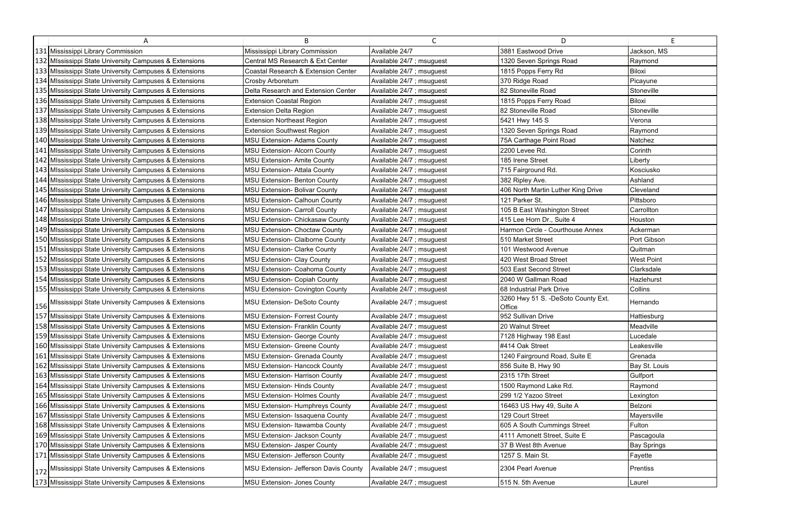| A                                                      | B.                                     | C                         | D                                             | F.                 |
|--------------------------------------------------------|----------------------------------------|---------------------------|-----------------------------------------------|--------------------|
| 131 Mississippi Library Commission                     | Mississippi Library Commission         | Available 24/7            | 3881 Eastwood Drive                           | Jackson, MS        |
| 132 MIssissippi State University Campuses & Extensions | Central MS Research & Ext Center       | Available 24/7 ; msuguest | 1320 Seven Springs Road                       | Raymond            |
| 133 MIssissippi State University Campuses & Extensions | Coastal Research & Extension Center    | Available 24/7 ; msuguest | 1815 Popps Ferry Rd                           | <b>Biloxi</b>      |
| 134 MIssissippi State University Campuses & Extensions | Crosby Arboretum                       | Available 24/7 ; msuguest | 370 Ridge Road                                | Picayune           |
| 135 MIssissippi State University Campuses & Extensions | Delta Research and Extension Center    | Available 24/7 ; msuguest | 82 Stoneville Road                            | Stoneville         |
| 136 MIssissippi State University Campuses & Extensions | <b>Extension Coastal Region</b>        | Available 24/7 ; msuguest | 1815 Popps Ferry Road                         | Biloxi             |
| 137 MIssissippi State University Campuses & Extensions | <b>Extension Delta Region</b>          | Available 24/7 ; msuguest | 82 Stoneville Road                            | Stoneville         |
| 138 MIssissippi State University Campuses & Extensions | <b>Extension Northeast Region</b>      | Available 24/7 ; msuguest | 5421 Hwy 145 S                                | Verona             |
| 139 MIssissippi State University Campuses & Extensions | <b>Extension Southwest Region</b>      | Available 24/7 ; msuguest | 1320 Seven Springs Road                       | Raymond            |
| 140 MIssissippi State University Campuses & Extensions | <b>MSU Extension- Adams County</b>     | Available 24/7 ; msuguest | 75A Carthage Point Road                       | Natchez            |
| 141 MIssissippi State University Campuses & Extensions | <b>MSU Extension- Alcorn County</b>    | Available 24/7 ; msuguest | 2200 Levee Rd.                                | Corinth            |
| 142 MIssissippi State University Campuses & Extensions | <b>MSU Extension- Amite County</b>     | Available 24/7 ; msuguest | 185 Irene Street                              | Liberty            |
| 143 MIssissippi State University Campuses & Extensions | <b>MSU Extension- Attala County</b>    | Available 24/7 ; msuguest | 715 Fairground Rd.                            | Kosciusko          |
| 144 MIssissippi State University Campuses & Extensions | <b>MSU Extension- Benton County</b>    | Available 24/7 ; msuguest | 382 Ripley Ave.                               | Ashland            |
| 145 MIssissippi State University Campuses & Extensions | <b>MSU Extension- Bolivar County</b>   | Available 24/7 ; msuguest | 406 North Martin Luther King Drive            | Cleveland          |
| 146 MIssissippi State University Campuses & Extensions | <b>MSU Extension- Calhoun County</b>   | Available 24/7 ; msuguest | 121 Parker St.                                | Pittsboro          |
| 147 MIssissippi State University Campuses & Extensions | <b>MSU Extension- Carroll County</b>   | Available 24/7 ; msuguest | 105 B East Washington Street                  | Carrollton         |
| 148 MIssissippi State University Campuses & Extensions | MSU Extension- Chickasaw County        | Available 24/7 ; msuguest | 415 Lee Horn Dr., Suite 4                     | Houston            |
| 149 MIssissippi State University Campuses & Extensions | <b>MSU Extension- Choctaw County</b>   | Available 24/7 ; msuguest | Harmon Circle - Courthouse Annex              | Ackerman           |
| 150 MIssissippi State University Campuses & Extensions | MSU Extension- Claiborne County        | Available 24/7 ; msuguest | 510 Market Street                             | Port Gibson        |
| 151 MIssissippi State University Campuses & Extensions | <b>MSU Extension- Clarke County</b>    | Available 24/7 ; msuguest | 101 Westwood Avenue                           | Quitman            |
| 152 MIssissippi State University Campuses & Extensions | <b>MSU Extension- Clay County</b>      | Available 24/7 ; msuguest | 420 West Broad Street                         | <b>West Point</b>  |
| 153 MIssissippi State University Campuses & Extensions | MSU Extension- Coahoma County          | Available 24/7 ; msuguest | 503 East Second Street                        | Clarksdale         |
| 154 MIssissippi State University Campuses & Extensions | <b>MSU Extension- Copiah County</b>    | Available 24/7 ; msuguest | 2040 W Gallman Road                           | Hazlehurst         |
| 155 MIssissippi State University Campuses & Extensions | <b>MSU Extension- Covington County</b> | Available 24/7 ; msuguest | 68 Industrial Park Drive                      | Collins            |
| 156 MIssissippi State University Campuses & Extensions | MSU Extension- DeSoto County           | Available 24/7 ; msuguest | 3260 Hwy 51 S. - DeSoto County Ext.<br>Office | Hernando           |
| 157 MIssissippi State University Campuses & Extensions | <b>MSU Extension- Forrest County</b>   | Available 24/7 ; msuguest | 952 Sullivan Drive                            | Hattiesburg        |
| 158 MIssissippi State University Campuses & Extensions | <b>MSU Extension- Franklin County</b>  | Available 24/7 ; msuguest | 20 Walnut Street                              | Meadville          |
| 159 MIssissippi State University Campuses & Extensions | MSU Extension- George County           | Available 24/7 ; msuguest | 7128 Highway 198 East                         | Lucedale           |
| 160 MIssissippi State University Campuses & Extensions | <b>MSU Extension- Greene County</b>    | Available 24/7 ; msuguest | #414 Oak Street                               | Leakesville        |
| 161 MIssissippi State University Campuses & Extensions | <b>MSU Extension- Grenada County</b>   | Available 24/7 ; msuguest | 1240 Fairground Road, Suite E                 | Grenada            |
| 162 MIssissippi State University Campuses & Extensions | <b>MSU Extension- Hancock County</b>   | Available 24/7 ; msuguest | 856 Suite B, Hwy 90                           | Bay St. Louis      |
| 163 MIssissippi State University Campuses & Extensions | <b>MSU Extension- Harrison County</b>  | Available 24/7 ; msuguest | 2315 17th Street                              | Gulfport           |
| 164 MIssissippi State University Campuses & Extensions | <b>MSU Extension- Hinds County</b>     | Available 24/7 ; msuguest | 1500 Raymond Lake Rd.                         | Raymond            |
| 165 MIssissippi State University Campuses & Extensions | <b>MSU Extension- Holmes County</b>    | Available 24/7 ; msuguest | 299 1/2 Yazoo Street                          | Lexington          |
| 166 MIssissippi State University Campuses & Extensions | <b>MSU Extension- Humphreys County</b> | Available 24/7 ; msuguest | 16463 US Hwy 49, Suite A                      | Belzoni            |
| 167 MIssissippi State University Campuses & Extensions | MSU Extension- Issaquena County        | Available 24/7 ; msuguest | 129 Court Street                              | Mayersville        |
| 168 MIssissippi State University Campuses & Extensions | MSU Extension- Itawamba County         | Available 24/7 ; msuguest | 605 A South Cummings Street                   | Fulton             |
| 169 MIssissippi State University Campuses & Extensions | <b>MSU Extension- Jackson County</b>   | Available 24/7 ; msuguest | 4111 Amonett Street, Suite E                  | Pascagoula         |
| 170 MIssissippi State University Campuses & Extensions | <b>MSU Extension- Jasper County</b>    | Available 24/7 ; msuguest | 37 B West 8th Avenue                          | <b>Bay Springs</b> |
| 171 MIssissippi State University Campuses & Extensions | MSU Extension- Jefferson County        | Available 24/7 ; msuguest | 1257 S. Main St.                              | Fayette            |
| 172 MIssissippi State University Campuses & Extensions | MSU Extension- Jefferson Davis County  | Available 24/7 ; msuguest | 2304 Pearl Avenue                             | Prentiss           |
| 173 MIssissippi State University Campuses & Extensions | MSU Extension- Jones County            | Available 24/7 ; msuguest | 515 N. 5th Avenue                             | Laurel             |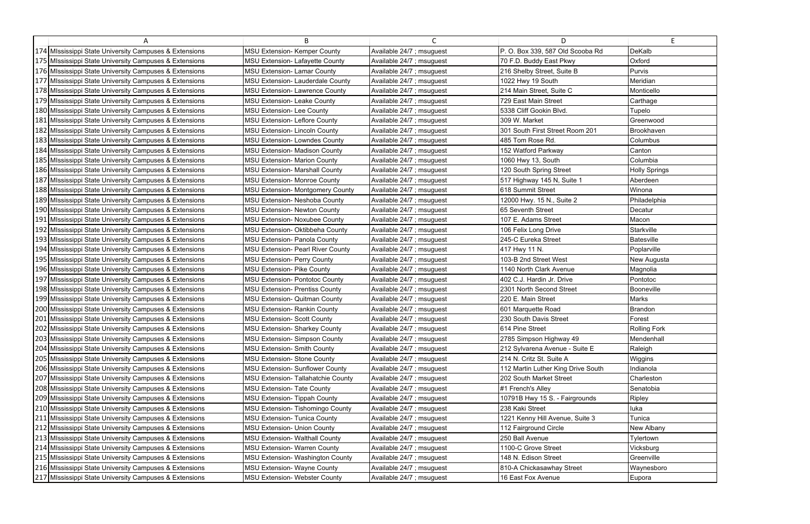| A                                                      | B.                                        | $\mathsf{C}$              | D.                                 | E                    |
|--------------------------------------------------------|-------------------------------------------|---------------------------|------------------------------------|----------------------|
| 174 MIssissippi State University Campuses & Extensions | <b>MSU Extension- Kemper County</b>       | Available 24/7 ; msuguest | P. O. Box 339, 587 Old Scooba Rd   | DeKalb               |
| 175 MIssissippi State University Campuses & Extensions | <b>MSU Extension- Lafayette County</b>    | Available 24/7 ; msuguest | 70 F.D. Buddy East Pkwy            | Oxford               |
| 176 MIssissippi State University Campuses & Extensions | <b>MSU Extension- Lamar County</b>        | Available 24/7 ; msuguest | 216 Shelby Street, Suite B         | Purvis               |
| 177 MIssissippi State University Campuses & Extensions | MSU Extension- Lauderdale County          | Available 24/7 ; msuguest | 1022 Hwy 19 South                  | Meridian             |
| 178 MIssissippi State University Campuses & Extensions | <b>MSU Extension- Lawrence County</b>     | Available 24/7 ; msuguest | 214 Main Street, Suite C           | Monticello           |
| 179 MIssissippi State University Campuses & Extensions | <b>MSU Extension- Leake County</b>        | Available 24/7 ; msuguest | 729 East Main Street               | Carthage             |
| 180 MIssissippi State University Campuses & Extensions | <b>MSU Extension-Lee County</b>           | Available 24/7 ; msuguest | 5338 Cliff Gookin Blvd.            | Tupelo               |
| 181 MIssissippi State University Campuses & Extensions | <b>MSU Extension- Leflore County</b>      | Available 24/7 ; msuguest | 309 W. Market                      | Greenwood            |
| 182 Mississippi State University Campuses & Extensions | <b>MSU Extension- Lincoln County</b>      | Available 24/7 ; msuguest | 301 South First Street Room 201    | Brookhaven           |
| 183 MIssissippi State University Campuses & Extensions | <b>MSU Extension- Lowndes County</b>      | Available 24/7 ; msuguest | 485 Tom Rose Rd.                   | Columbus             |
| 184 MIssissippi State University Campuses & Extensions | <b>MSU Extension- Madison County</b>      | Available 24/7 ; msuguest | 152 Watford Parkway                | Canton               |
| 185 MIssissippi State University Campuses & Extensions | MSU Extension- Marion County              | Available 24/7 ; msuguest | 1060 Hwy 13, South                 | Columbia             |
| 186 MIssissippi State University Campuses & Extensions | <b>MSU Extension- Marshall County</b>     | Available 24/7 ; msuguest | 120 South Spring Street            | <b>Holly Springs</b> |
| 187 MIssissippi State University Campuses & Extensions | <b>MSU Extension- Monroe County</b>       | Available 24/7 ; msuguest | 517 Highway 145 N, Suite 1         | Aberdeen             |
| 188 MIssissippi State University Campuses & Extensions | <b>MSU Extension- Montgomery County</b>   | Available 24/7 ; msuguest | 618 Summit Street                  | Winona               |
| 189 MIssissippi State University Campuses & Extensions | MSU Extension- Neshoba County             | Available 24/7 ; msuguest | 12000 Hwy. 15 N., Suite 2          | Philadelphia         |
| 190 MIssissippi State University Campuses & Extensions | <b>MSU Extension- Newton County</b>       | Available 24/7 ; msuguest | 65 Seventh Street                  | Decatur              |
| 191 MIssissippi State University Campuses & Extensions | <b>MSU Extension- Noxubee County</b>      | Available 24/7 ; msuguest | 107 E. Adams Street                | Macon                |
| 192 MIssissippi State University Campuses & Extensions | MSU Extension- Oktibbeha County           | Available 24/7 ; msuguest | 106 Felix Long Drive               | Starkville           |
| 193 MIssissippi State University Campuses & Extensions | <b>MSU Extension- Panola County</b>       | Available 24/7 ; msuguest | 245-C Eureka Street                | Batesville           |
| 194 Mississippi State University Campuses & Extensions | <b>MSU Extension- Pearl River County</b>  | Available 24/7 ; msuguest | 417 Hwy 11 N.                      | Poplarville          |
| 195 MIssissippi State University Campuses & Extensions | MSU Extension- Perry County               | Available 24/7 ; msuguest | 103-B 2nd Street West              | New Augusta          |
| 196 MIssissippi State University Campuses & Extensions | <b>MSU Extension- Pike County</b>         | Available 24/7 ; msuguest | 1140 North Clark Avenue            | Magnolia             |
| 197 MIssissippi State University Campuses & Extensions | <b>MSU Extension- Pontotoc County</b>     | Available 24/7 ; msuguest | 402 C.J. Hardin Jr. Drive          | Pontotoc             |
| 198 MIssissippi State University Campuses & Extensions | <b>MSU Extension- Prentiss County</b>     | Available 24/7 ; msuguest | 2301 North Second Street           | Booneville           |
| 199 MIssissippi State University Campuses & Extensions | <b>MSU Extension- Quitman County</b>      | Available 24/7 ; msuguest | 220 E. Main Street                 | Marks                |
| 200 MIssissippi State University Campuses & Extensions | <b>MSU Extension- Rankin County</b>       | Available 24/7 ; msuguest | 601 Marquette Road                 | <b>Brandon</b>       |
| 201 MIssissippi State University Campuses & Extensions | <b>MSU Extension- Scott County</b>        | Available 24/7 ; msuguest | 230 South Davis Street             | Forest               |
| 202 MIssissippi State University Campuses & Extensions | MSU Extension- Sharkey County             | Available 24/7 ; msuguest | 614 Pine Street                    | <b>Rolling Fork</b>  |
| 203 MIssissippi State University Campuses & Extensions | <b>MSU Extension- Simpson County</b>      | Available 24/7 ; msuguest | 2785 Simpson Highway 49            | Mendenhall           |
| 204 MIssissippi State University Campuses & Extensions | <b>MSU Extension- Smith County</b>        | Available 24/7 ; msuguest | 212 Sylvarena Avenue - Suite E     | Raleigh              |
| 205 MIssissippi State University Campuses & Extensions | <b>MSU Extension- Stone County</b>        | Available 24/7 ; msuguest | 214 N. Critz St. Suite A           | Wiggins              |
| 206 MIssissippi State University Campuses & Extensions | <b>MSU Extension- Sunflower County</b>    | Available 24/7 ; msuguest | 112 Martin Luther King Drive South | Indianola            |
| 207 MIssissippi State University Campuses & Extensions | <b>MSU Extension- Tallahatchie County</b> | Available 24/7 ; msuguest | 202 South Market Street            | Charleston           |
| 208 MIssissippi State University Campuses & Extensions | <b>MSU Extension- Tate County</b>         | Available 24/7 ; msuguest | #1 French's Alley                  | Senatobia            |
| 209 MIssissippi State University Campuses & Extensions | <b>MSU Extension- Tippah County</b>       | Available 24/7 ; msuguest | 10791B Hwy 15 S. - Fairgrounds     | Ripley               |
| 210 MIssissippi State University Campuses & Extensions | <b>MSU Extension- Tishomingo County</b>   | Available 24/7 ; msuguest | 238 Kaki Street                    | luka                 |
| 211 MIssissippi State University Campuses & Extensions | <b>MSU Extension- Tunica County</b>       | Available 24/7 ; msuguest | 1221 Kenny Hill Avenue, Suite 3    | Tunica               |
| 212 MIssissippi State University Campuses & Extensions | <b>MSU Extension- Union County</b>        | Available 24/7 ; msuguest | 112 Fairground Circle              | New Albany           |
| 213 MIssissippi State University Campuses & Extensions | <b>MSU Extension- Walthall County</b>     | Available 24/7 ; msuguest | 250 Ball Avenue                    | Tylertown            |
| 214 MIssissippi State University Campuses & Extensions | <b>MSU Extension- Warren County</b>       | Available 24/7 ; msuguest | 1100-C Grove Street                | Vicksburg            |
| 215 MIssissippi State University Campuses & Extensions | <b>MSU Extension- Washington County</b>   | Available 24/7 ; msuguest | 148 N. Edison Street               | Greenville           |
| 216 MIssissippi State University Campuses & Extensions | <b>MSU Extension- Wayne County</b>        | Available 24/7 ; msuguest | 810-A Chickasawhay Street          | Waynesboro           |
| 217 MIssissippi State University Campuses & Extensions | <b>MSU Extension- Webster County</b>      | Available 24/7 ; msuguest | 16 East Fox Avenue                 | Eupora               |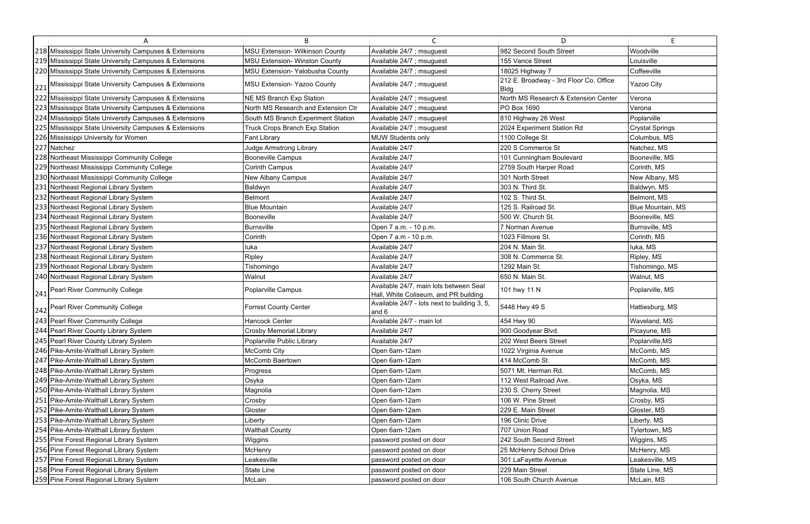| A                                                      | R.                                     | $\mathsf{C}$                                                                    | D                                                     | E                      |
|--------------------------------------------------------|----------------------------------------|---------------------------------------------------------------------------------|-------------------------------------------------------|------------------------|
| 218 MIssissippi State University Campuses & Extensions | <b>MSU Extension- Wilkinson County</b> | Available 24/7 ; msuguest                                                       | 982 Second South Street                               | Woodville              |
| 219 MIssissippi State University Campuses & Extensions | <b>MSU Extension- Winston County</b>   | Available 24/7 ; msuguest                                                       | 155 Vance Street                                      | Louisville             |
| 220 MIssissippi State University Campuses & Extensions | MSU Extension- Yalobusha County        | Available 24/7 ; msuguest                                                       | 18025 Highway 7                                       | Coffeeville            |
| 221 MIssissippi State University Campuses & Extensions | MSU Extension- Yazoo County            | Available 24/7 ; msuguest                                                       | 212 E. Broadway - 3rd Floor Co. Office<br><b>Bldg</b> | Yazoo City             |
| 222 MIssissippi State University Campuses & Extensions | NE MS Branch Exp Station               | Available 24/7 ; msuguest                                                       | North MS Research & Extension Center                  | Verona                 |
| 223 MIssissippi State University Campuses & Extensions | North MS Research and Extension Ctr    | Available 24/7 ; msuguest                                                       | PO Box 1690                                           | Verona                 |
| 224 MIssissippi State University Campuses & Extensions | South MS Branch Experiment Station     | Available 24/7 ; msuguest                                                       | 810 Highway 26 West                                   | Poplarville            |
| 225 MIssissippi State University Campuses & Extensions | <b>Truck Crops Branch Exp Station</b>  | Available 24/7 ; msuguest                                                       | 2024 Experiment Station Rd                            | <b>Crystal Springs</b> |
| 226 Mississippi University for Women                   | Fant Library                           | <b>MUW Students only</b>                                                        | 1100 College St                                       | Columbus, MS           |
| 227 Natchez                                            | <b>Judge Armstrong Library</b>         | Available 24/7                                                                  | 220 S Commerce St                                     | Natchez, MS            |
| 228 Northeast Mississippi Community College            | <b>Booneville Campus</b>               | Available 24/7                                                                  | 101 Cunningham Boulevard                              | Booneville, MS         |
| 229 Northeast Mississippi Community College            | Corinth Campus                         | Available 24/7                                                                  | 2759 South Harper Road                                | Corinth, MS            |
| 230 Northeast Mississippi Community College            | New Albany Campus                      | Available 24/7                                                                  | 301 North Street                                      | New Albany, MS         |
| 231 Northeast Regional Library System                  | Baldwyn                                | Available 24/7                                                                  | 303 N. Third St.                                      | Baldwyn, MS            |
| 232 Northeast Regional Library System                  | <b>Belmont</b>                         | Available 24/7                                                                  | 102 S. Third St.                                      | Belmont, MS            |
| 233 Northeast Regional Library System                  | <b>Blue Mountain</b>                   | Available 24/7                                                                  | 125 S. Railroad St.                                   | Blue Mountain, MS      |
| 234 Northeast Regional Library System                  | Booneville                             | Available 24/7                                                                  | 500 W. Church St.                                     | Booneville, MS         |
| 235 Northeast Regional Library System                  | Burnsville                             | Open 7 a.m. - 10 p.m.                                                           | 7 Norman Avenue                                       | Burnsville, MS         |
| 236 Northeast Regional Library System                  | Corinth                                | Open 7 a.m - 10 p.m.                                                            | 1023 Fillmore St.                                     | Corinth, MS            |
| 237 Northeast Regional Library System                  | luka                                   | Available 24/7                                                                  | 204 N. Main St.                                       | luka, MS               |
| 238 Northeast Regional Library System                  | Ripley                                 | Available 24/7                                                                  | 308 N. Commerce St.                                   | Ripley, MS             |
| 239 Northeast Regional Library System                  | Tishomingo                             | Available 24/7                                                                  | 1292 Main St.                                         | Tishomingo, MS         |
| 240 Northeast Regional Library System                  | Walnut                                 | Available 24/7                                                                  | 650 N. Main St.                                       | Walnut, MS             |
| 241 Pearl River Community College                      | Poplarville Campus                     | Available 24/7, main lots between Seal<br>Hall, White Coliseum, and PR building | 101 hwy 11 N                                          | Poplarville, MS        |
| 242 Pearl River Community College                      | <b>Forrest County Center</b>           | Available 24/7 - lots next to building 3, 5,<br>and 6                           | 5448 Hwy 49 S                                         | Hattiesburg, MS        |
| 243 Pearl River Community College                      | Hancock Center                         | Available 24/7 - main lot                                                       | 454 Hwy 90                                            | Waveland, MS           |
| 244 Pearl River County Library System                  | <b>Crosby Memorial Library</b>         | Available 24/7                                                                  | 900 Goodyear Blvd.                                    | Picayune, MS           |
| 245 Pearl River County Library System                  | Poplarville Public Library             | Available 24/7                                                                  | 202 West Beers Street                                 | Poplarville, MS        |
| 246 Pike-Amite-Walthall Library System                 | McComb City                            | Open 6am-12am                                                                   | 1022 Virginia Avenue                                  | McComb, MS             |
| 247 Pike-Amite-Walthall Library System                 | McComb Baertown                        | Open 6am-12am                                                                   | 414 McComb St.                                        | McComb, MS             |
| 248 Pike-Amite-Walthall Library System                 | Progress                               | Open 6am-12am                                                                   | 5071 Mt. Herman Rd.                                   | McComb, MS             |
| 249 Pike-Amite-Walthall Library System                 | Osyka                                  | Open 6am-12am                                                                   | 112 West Railroad Ave.                                | Osyka, MS              |
| 250 Pike-Amite-Walthall Library System                 | Magnolia                               | Open 6am-12am                                                                   | 230 S. Cherry Street                                  | Magnolia, MS           |
| 251 Pike-Amite-Walthall Library System                 | Crosby                                 | Open 6am-12am                                                                   | 106 W. Pine Street                                    | Crosby, MS             |
| 252 Pike-Amite-Walthall Library System                 | Gloster                                | Open 6am-12am                                                                   | 229 E. Main Street                                    | Gloster, MS            |
| 253 Pike-Amite-Walthall Library System                 | Liberty                                | Open 6am-12am                                                                   | 196 Clinic Drive                                      | Liberty, MS            |
| 254 Pike-Amite-Walthall Library System                 | <b>Walthall County</b>                 | Open 6am-12am                                                                   | 707 Union Road                                        | Tylertown, MS          |
| 255 Pine Forest Regional Library System                | Wiggins                                | password posted on door                                                         | 242 South Second Street                               | Wiggins, MS            |
| 256 Pine Forest Regional Library System                | McHenry                                | password posted on door                                                         | 25 McHenry School Drive                               | McHenry, MS            |
| 257 Pine Forest Regional Library System                | Leakesville                            | password posted on door                                                         | 301 LaFayette Avenue                                  | Leakesville, MS        |
| 258 Pine Forest Regional Library System                | State Line                             | password posted on door                                                         | 229 Main Street                                       | State Line, MS         |
| [259] Pine Forest Regional Library System              | McLain                                 | password posted on door                                                         | 106 South Church Avenue                               | McLain, MS             |